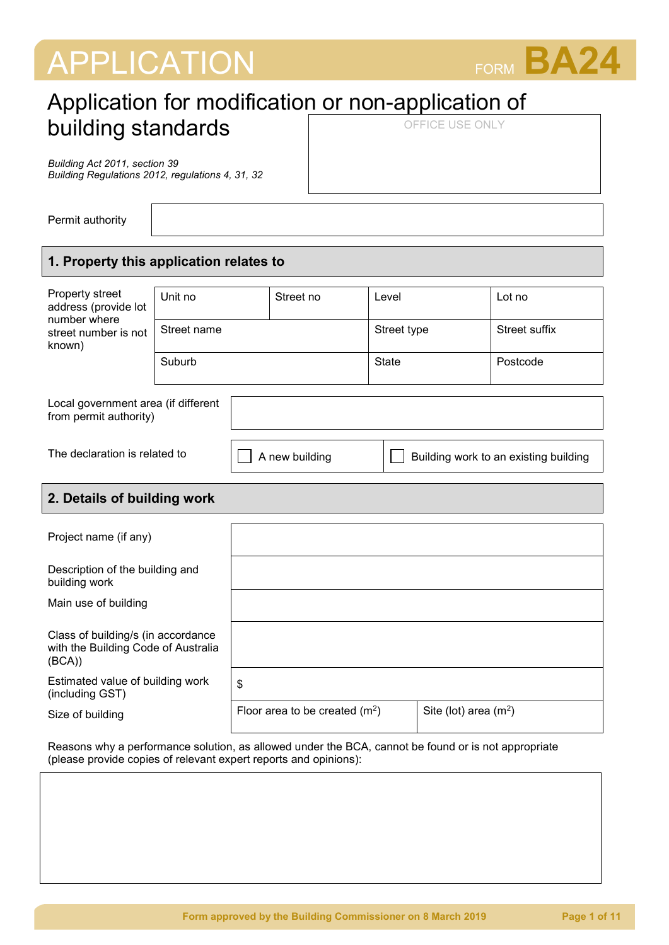# APPLICATION FORM **BA24**



# Application for modification or non-application of building standards OFFICE USE ONLY

*Building Act 2011, section 39 Building Regulations 2012, regulations 4, 31, 32*

Permit authority

# **1. Property this application relates to**

| Property street<br>address (provide lot<br>number where<br>street number is not<br>known) | Unit no     |  | Street no      | Level        |                                       | Lot no        |
|-------------------------------------------------------------------------------------------|-------------|--|----------------|--------------|---------------------------------------|---------------|
|                                                                                           | Street name |  |                |              | Street type                           | Street suffix |
|                                                                                           | Suburb      |  |                | <b>State</b> |                                       | Postcode      |
|                                                                                           |             |  |                |              |                                       |               |
| Local government area (if different<br>from permit authority)                             |             |  |                |              |                                       |               |
|                                                                                           |             |  |                |              |                                       |               |
| The declaration is related to                                                             |             |  | A new building |              | Building work to an existing building |               |
|                                                                                           |             |  |                |              |                                       |               |
|                                                                                           |             |  |                |              |                                       |               |

# **2. Details of building work**

| Project name (if any)                                                               |                                 |                        |
|-------------------------------------------------------------------------------------|---------------------------------|------------------------|
| Description of the building and<br>building work                                    |                                 |                        |
| Main use of building                                                                |                                 |                        |
| Class of building/s (in accordance<br>with the Building Code of Australia<br>(BCA)) |                                 |                        |
| Estimated value of building work<br>(including GST)                                 | \$                              |                        |
| Size of building                                                                    | Floor area to be created $(m2)$ | Site (lot) area $(m2)$ |

Reasons why a performance solution, as allowed under the BCA, cannot be found or is not appropriate (please provide copies of relevant expert reports and opinions):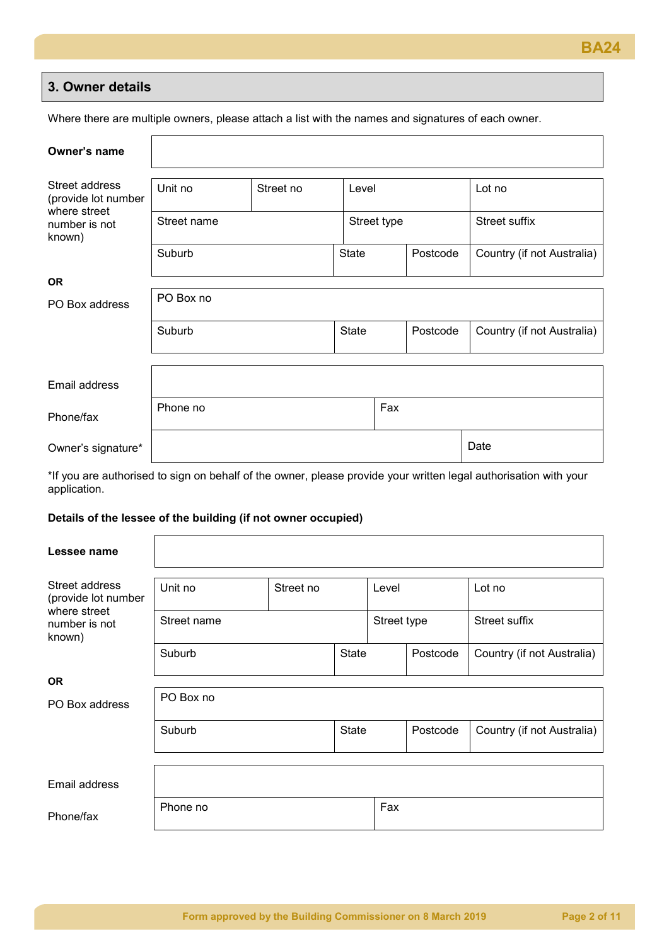

## **3. Owner details**

Where there are multiple owners, please attach a list with the names and signatures of each owner.

| Owner's name                            |                      |  |              |             |          |                            |
|-----------------------------------------|----------------------|--|--------------|-------------|----------|----------------------------|
| Street address<br>(provide lot number   | Unit no<br>Street no |  | Level        |             |          | Lot no                     |
| where street<br>number is not<br>known) | Street name          |  |              | Street type |          | Street suffix              |
|                                         | Suburb               |  | <b>State</b> |             | Postcode | Country (if not Australia) |
| <b>OR</b>                               |                      |  |              |             |          |                            |
| PO Box address                          | PO Box no            |  |              |             |          |                            |
|                                         | Suburb               |  | <b>State</b> |             | Postcode | Country (if not Australia) |
|                                         |                      |  |              |             |          |                            |
| Email address                           |                      |  |              |             |          |                            |
| Phone/fax                               | Phone no             |  |              | Fax         |          |                            |
| Owner's signature*                      |                      |  |              |             |          | Date                       |

\*If you are authorised to sign on behalf of the owner, please provide your written legal authorisation with your application.

#### **Details of the lessee of the building (if not owner occupied)**

 $\Gamma$ 

| Lessee name                                           |                      |  |              |             |          |                            |
|-------------------------------------------------------|----------------------|--|--------------|-------------|----------|----------------------------|
| Street address<br>(provide lot number<br>where street | Unit no<br>Street no |  |              | Level       |          | Lot no                     |
| number is not<br>known)                               | Street name          |  |              | Street type |          | Street suffix              |
|                                                       | Suburb               |  | <b>State</b> |             | Postcode | Country (if not Australia) |
| <b>OR</b>                                             |                      |  |              |             |          |                            |
| PO Box address                                        | PO Box no            |  |              |             |          |                            |
|                                                       | Suburb               |  | <b>State</b> |             | Postcode | Country (if not Australia) |
|                                                       |                      |  |              |             |          |                            |
| Email address                                         |                      |  |              |             |          |                            |
| Phone/fax                                             | Phone no             |  |              | Fax         |          |                            |

٦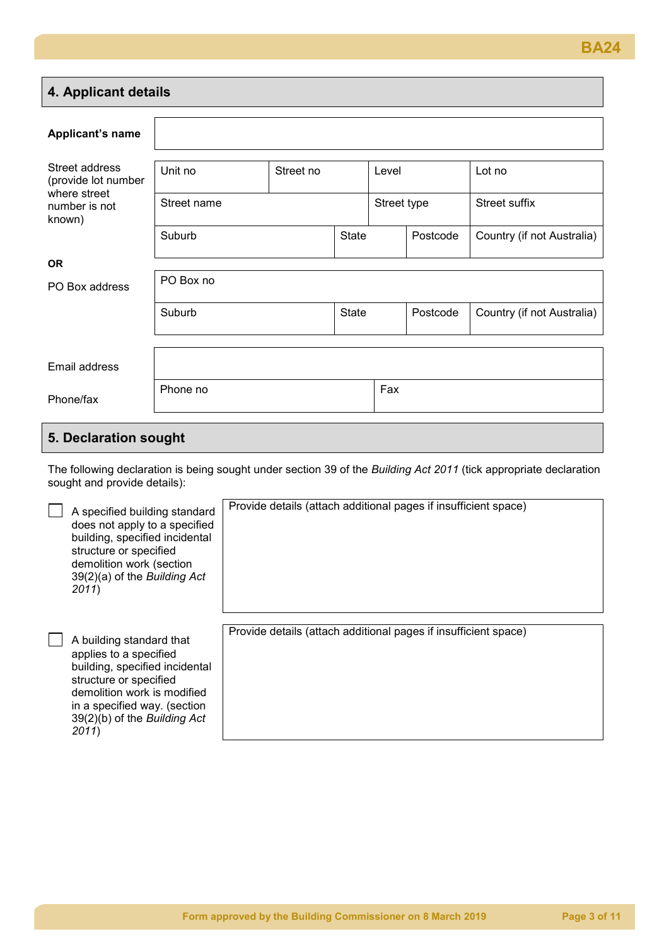# **4. Applicant details Applicant's name** Street address (provide lot number where street number is not known) Unit no | Street no | Level | Lot no Street name Street name Street suffix Suburb Suburb | State | Postcode | Country (if not Australia) **OR** PO Box address PO Box no Suburb Suburb | State | Postcode | Country (if not Australia) Email address Phone/fax Phone no Fax

# **5. Declaration sought**

The following declaration is being sought under section 39 of the *Building Act 2011* (tick appropriate declaration sought and provide details):

| A specified building standard<br>does not apply to a specified<br>building, specified incidental<br>structure or specified<br>demolition work (section<br>39(2)(a) of the Building Act<br>2011)                        | Provide details (attach additional pages if insufficient space) |
|------------------------------------------------------------------------------------------------------------------------------------------------------------------------------------------------------------------------|-----------------------------------------------------------------|
| A building standard that<br>applies to a specified<br>building, specified incidental<br>structure or specified<br>demolition work is modified<br>in a specified way. (section<br>39(2)(b) of the Building Act<br>2011) | Provide details (attach additional pages if insufficient space) |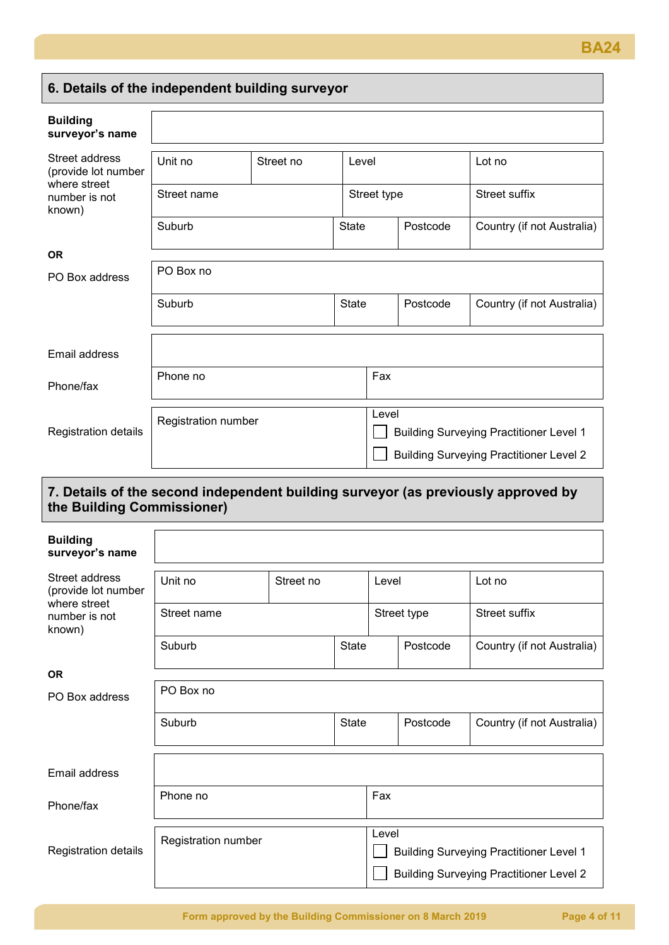# **6. Details of the independent building surveyor**

| <b>Building</b><br>surveyor's name      |                      |  |              |                                                         |          |                                                |
|-----------------------------------------|----------------------|--|--------------|---------------------------------------------------------|----------|------------------------------------------------|
| Street address<br>(provide lot number   | Unit no<br>Street no |  | Level        |                                                         |          | Lot no                                         |
| where street<br>number is not<br>known) | Street name          |  |              | Street type                                             |          | <b>Street suffix</b>                           |
|                                         | Suburb               |  | <b>State</b> |                                                         | Postcode | Country (if not Australia)                     |
| <b>OR</b>                               |                      |  |              |                                                         |          |                                                |
| PO Box address                          | PO Box no            |  |              |                                                         |          |                                                |
|                                         | Suburb               |  | <b>State</b> |                                                         | Postcode | Country (if not Australia)                     |
| Email address                           |                      |  |              |                                                         |          |                                                |
| Phone/fax                               | Phone no             |  |              | Fax                                                     |          |                                                |
| Registration details                    | Registration number  |  |              | Level<br><b>Building Surveying Practitioner Level 1</b> |          |                                                |
|                                         |                      |  |              |                                                         |          | <b>Building Surveying Practitioner Level 2</b> |

# **7. Details of the second independent building surveyor (as previously approved by the Building Commissioner)**

| <b>Building</b><br>surveyor's name      |                      |  |              |       |             |                                                |
|-----------------------------------------|----------------------|--|--------------|-------|-------------|------------------------------------------------|
| Street address<br>(provide lot number   | Unit no<br>Street no |  |              | Level |             | Lot no                                         |
| where street<br>number is not<br>known) | Street name          |  |              |       | Street type | Street suffix                                  |
|                                         | Suburb               |  | State        |       | Postcode    | Country (if not Australia)                     |
| <b>OR</b>                               |                      |  |              |       |             |                                                |
| PO Box address                          | PO Box no            |  |              |       |             |                                                |
|                                         | Suburb               |  | <b>State</b> |       | Postcode    | Country (if not Australia)                     |
| Email address                           |                      |  |              |       |             |                                                |
| Phone/fax                               | Phone no             |  |              | Fax   |             |                                                |
| Registration details                    | Registration number  |  |              | Level |             | <b>Building Surveying Practitioner Level 1</b> |
|                                         |                      |  |              |       |             | <b>Building Surveying Practitioner Level 2</b> |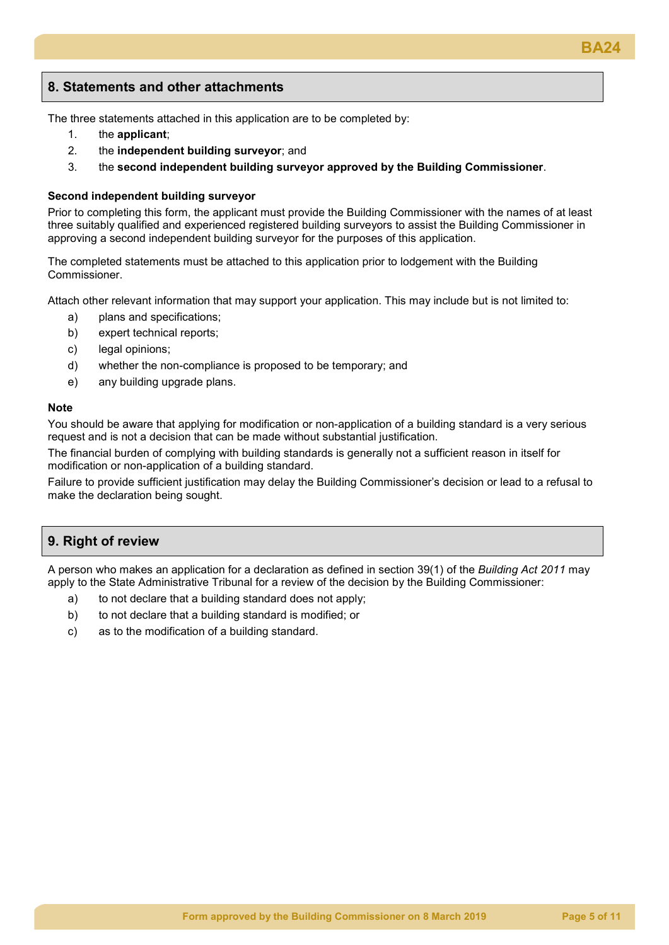## **8. Statements and other attachments**

The three statements attached in this application are to be completed by:

- 1. the **applicant**;
- 2. the **independent building surveyor**; and
- 3. the **second independent building surveyor approved by the Building Commissioner**.

#### **Second independent building surveyor**

Prior to completing this form, the applicant must provide the Building Commissioner with the names of at least three suitably qualified and experienced registered building surveyors to assist the Building Commissioner in approving a second independent building surveyor for the purposes of this application.

The completed statements must be attached to this application prior to lodgement with the Building Commissioner.

Attach other relevant information that may support your application. This may include but is not limited to:

- a) plans and specifications;
- b) expert technical reports;
- c) legal opinions;
- d) whether the non-compliance is proposed to be temporary; and
- e) any building upgrade plans.

#### **Note**

You should be aware that applying for modification or non-application of a building standard is a very serious request and is not a decision that can be made without substantial justification.

The financial burden of complying with building standards is generally not a sufficient reason in itself for modification or non-application of a building standard.

Failure to provide sufficient justification may delay the Building Commissioner's decision or lead to a refusal to make the declaration being sought.

## **9. Right of review**

A person who makes an application for a declaration as defined in section 39(1) of the *Building Act 2011* may apply to the State Administrative Tribunal for a review of the decision by the Building Commissioner:

- a) to not declare that a building standard does not apply;
- b) to not declare that a building standard is modified; or
- c) as to the modification of a building standard.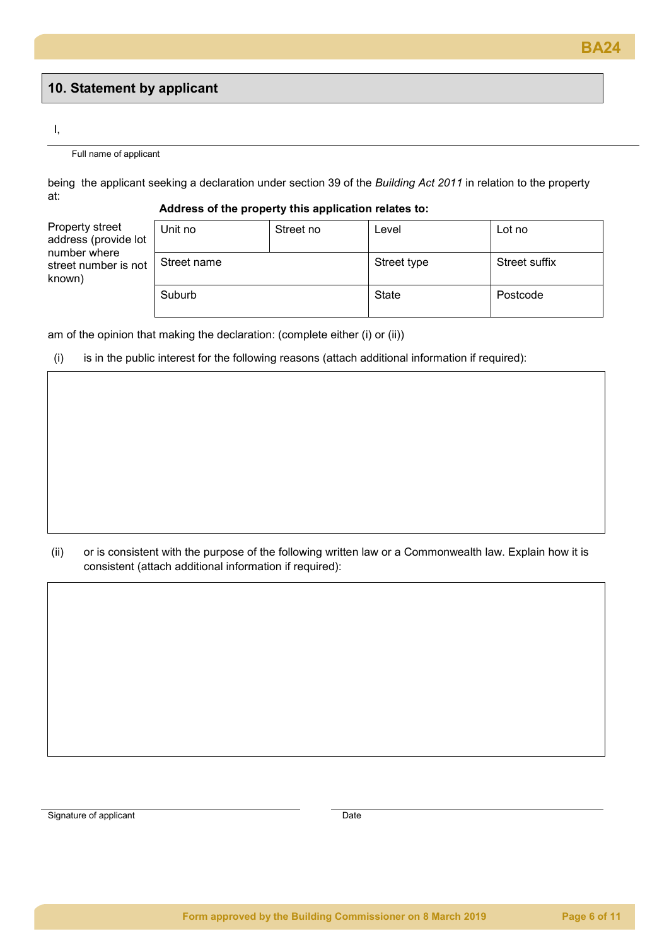## **10. Statement by applicant**

#### I,

#### Full name of applicant

being the applicant seeking a declaration under section 39 of the *Building Act 2011* in relation to the property at:

#### **Address of the property this application relates to:**

Property street address (provide lot number where street number is not known)

| Unit no     | Street no | Level       | Lot no        |
|-------------|-----------|-------------|---------------|
| Street name |           | Street type | Street suffix |
| Suburb      |           | State       | Postcode      |

am of the opinion that making the declaration: (complete either (i) or (ii))

### (i) is in the public interest for the following reasons (attach additional information if required):

(ii) or is consistent with the purpose of the following written law or a Commonwealth law. Explain how it is consistent (attach additional information if required):

Signature of applicant Date Date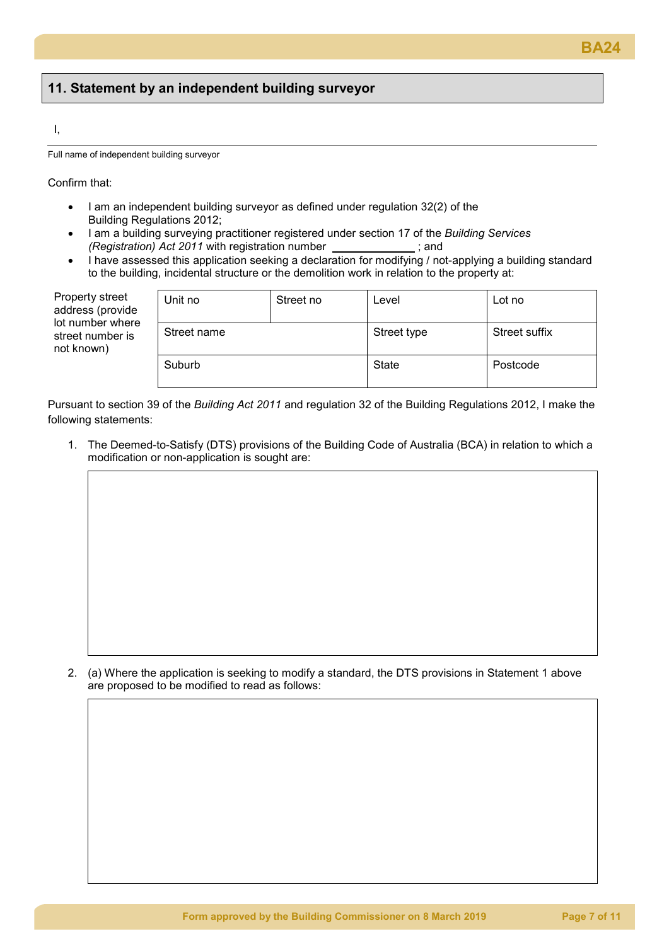## **11. Statement by an independent building surveyor**

#### I,

Full name of independent building surveyor

Confirm that:

- I am an independent building surveyor as defined under regulation 32(2) of the Building Regulations 2012;
- I am a building surveying practitioner registered under section 17 of the *Building Services (Registration) Act 2011* with registration number \_
- I have assessed this application seeking a declaration for modifying / not-applying a building standard to the building, incidental structure or the demolition work in relation to the property at:

| Property street<br>address (provide<br>lot number where<br>street number is<br>not known) | Unit no<br>Street no |  | Level       | Lot no        |
|-------------------------------------------------------------------------------------------|----------------------|--|-------------|---------------|
|                                                                                           | Street name          |  | Street type | Street suffix |
|                                                                                           | Suburb               |  | State       | Postcode      |

Pursuant to section 39 of the *Building Act 2011* and regulation 32 of the Building Regulations 2012, I make the following statements:

1. The Deemed-to-Satisfy (DTS) provisions of the Building Code of Australia (BCA) in relation to which a modification or non-application is sought are:

2. (a) Where the application is seeking to modify a standard, the DTS provisions in Statement 1 above are proposed to be modified to read as follows: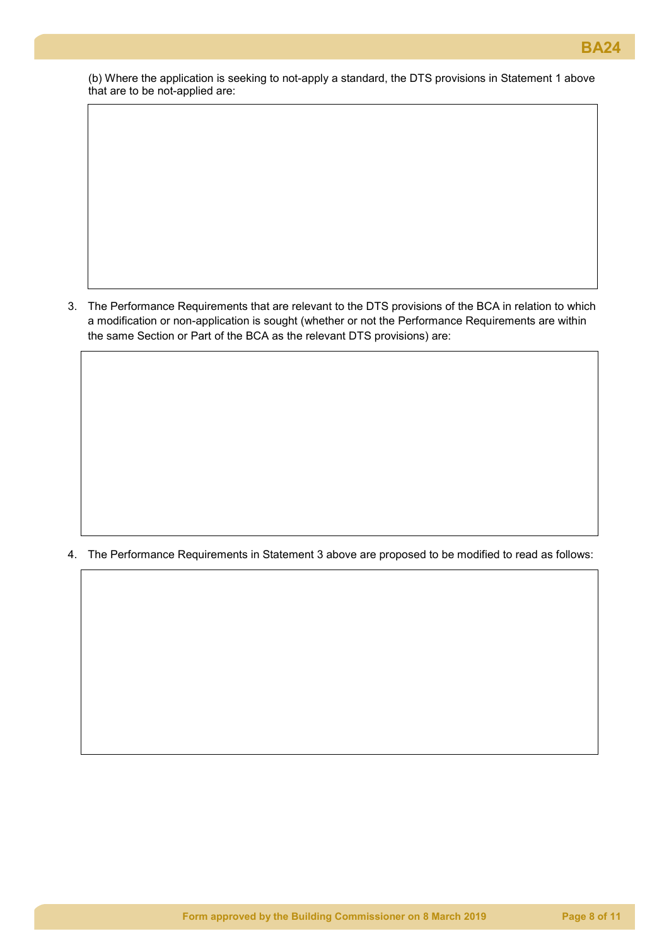(b) Where the application is seeking to not-apply a standard, the DTS provisions in Statement 1 above that are to be not-applied are:

3. The Performance Requirements that are relevant to the DTS provisions of the BCA in relation to which a modification or non-application is sought (whether or not the Performance Requirements are within the same Section or Part of the BCA as the relevant DTS provisions) are:

4. The Performance Requirements in Statement 3 above are proposed to be modified to read as follows: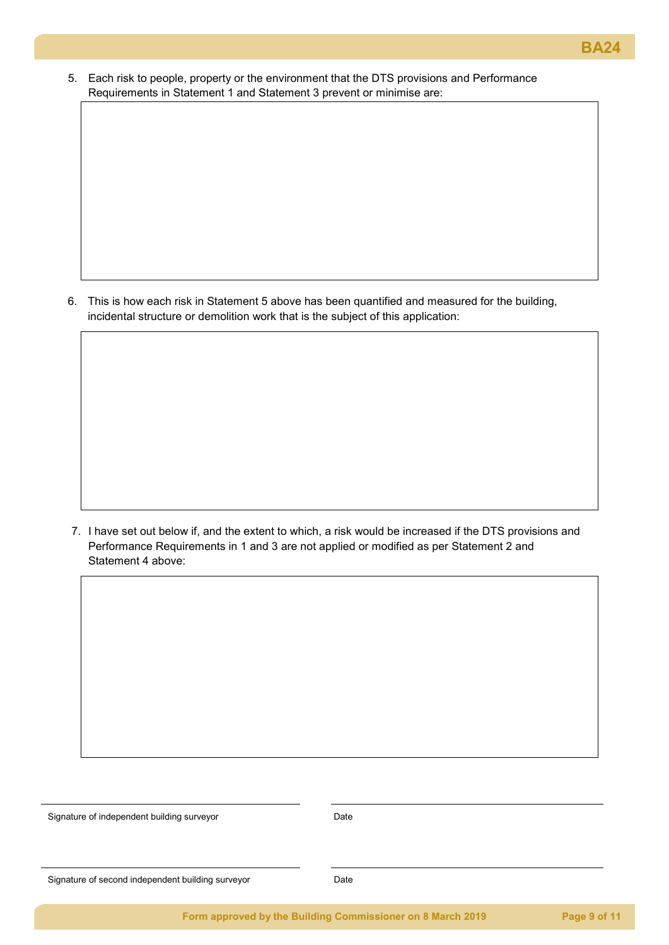5. Each risk to people, property or the environment that the DTS provisions and Performance Requirements in Statement 1 and Statement 3 prevent or minimise are:

6. This is how each risk in Statement 5 above has been quantified and measured for the building, incidental structure or demolition work that is the subject of this application:

7. I have set out below if, and the extent to which, a risk would be increased if the DTS provisions and Performance Requirements in 1 and 3 are not applied or modified as per Statement 2 and Statement 4 above:

Signature of independent building surveyor example and the Date

Signature of second independent building surveyor Date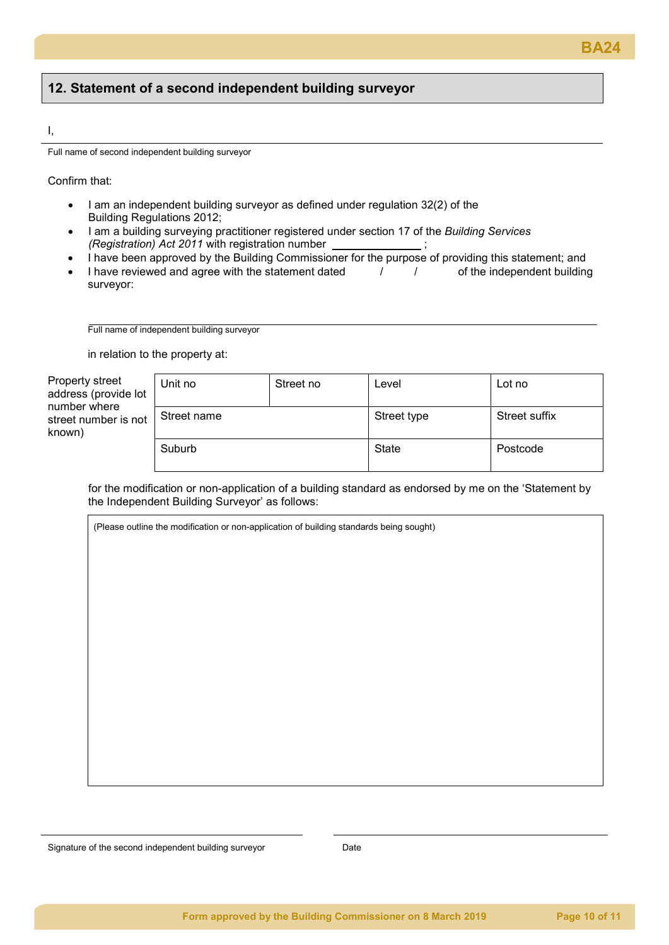# **BA24**

## **12. Statement of a second independent building surveyor**

#### I,

Full name of second independent building surveyor

Confirm that:

- I am an independent building surveyor as defined under regulation 32(2) of the Building Regulations 2012;
- I am a building surveying practitioner registered under section 17 of the *Building Services (Registration) Act 2011* with registration number \_
- I have been approved by the Building Commissioner for the purpose of providing this statement; and<br>I have reviewed and agree with the statement dated<br> $\frac{1}{1-\epsilon}$  of the independent building
- I have reviewed and agree with the statement dated  $\frac{1}{1-\frac{1}{1-\frac{1}{1-\frac{1}{1-\frac{1}{1-\frac{1}{1-\frac{1}{1-\frac{1}{1-\frac{1}{1-\frac{1}{1-\frac{1}{1-\frac{1}{1-\frac{1}{1-\frac{1}{1-\frac{1}{1-\frac{1}{1-\frac{1}{1-\frac{1}{1-\frac{1}{1-\frac{1}{1-\frac{1}{1-\frac{1}{1-\frac{1}{1-\frac{1}{1-\frac{1}{1-\frac{1}{1-\frac{1}{1-\frac{1}{$ surveyor:

Full name of independent building surveyor

in relation to the property at:

Property street address (provide lo number where street number is no known)

| эt | Unit no     | Street no | Level        | Lot no        |
|----|-------------|-----------|--------------|---------------|
| )t | Street name |           | Street type  | Street suffix |
|    | Suburb      |           | <b>State</b> | Postcode      |

for the modification or non-application of a building standard as endorsed by me on the 'Statement by the Independent Building Surveyor' as follows:

(Please outline the modification or non-application of building standards being sought)